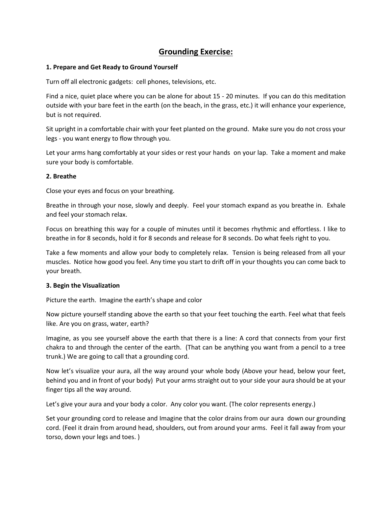# **Grounding Exercise:**

#### **1. Prepare and Get Ready to Ground Yourself**

Turn off all electronic gadgets: cell phones, televisions, etc.

Find a nice, quiet place where you can be alone for about 15 - 20 minutes. If you can do this meditation outside with your bare feet in the earth (on the beach, in the grass, etc.) it will enhance your experience, but is not required.

Sit upright in a comfortable chair with your feet planted on the ground. Make sure you do not cross your legs - you want energy to flow through you.

Let your arms hang comfortably at your sides or rest your hands on your lap. Take a moment and make sure your body is comfortable.

## **2. Breathe**

Close your eyes and focus on your breathing.

Breathe in through your nose, slowly and deeply. Feel your stomach expand as you breathe in. Exhale and feel your stomach relax.

Focus on breathing this way for a couple of minutes until it becomes rhythmic and effortless. I like to breathe in for 8 seconds, hold it for 8 seconds and release for 8 seconds. Do what feels right to you.

Take a few moments and allow your body to completely relax. Tension is being released from all your muscles. Notice how good you feel. Any time you start to drift off in your thoughts you can come back to your breath.

#### **3. Begin the Visualization**

Picture the earth. Imagine the earth's shape and color

Now picture yourself standing above the earth so that your feet touching the earth. Feel what that feels like. Are you on grass, water, earth?

Imagine, as you see yourself above the earth that there is a line: A cord that connects from your first chakra to and through the center of the earth. (That can be anything you want from a pencil to a tree trunk.) We are going to call that a grounding cord.

Now let's visualize your aura, all the way around your whole body (Above your head, below your feet, behind you and in front of your body) Put your arms straight out to your side your aura should be at your finger tips all the way around.

Let's give your aura and your body a color. Any color you want. (The color represents energy.)

Set your grounding cord to release and Imagine that the color drains from our aura down our grounding cord. (Feel it drain from around head, shoulders, out from around your arms. Feel it fall away from your torso, down your legs and toes. )